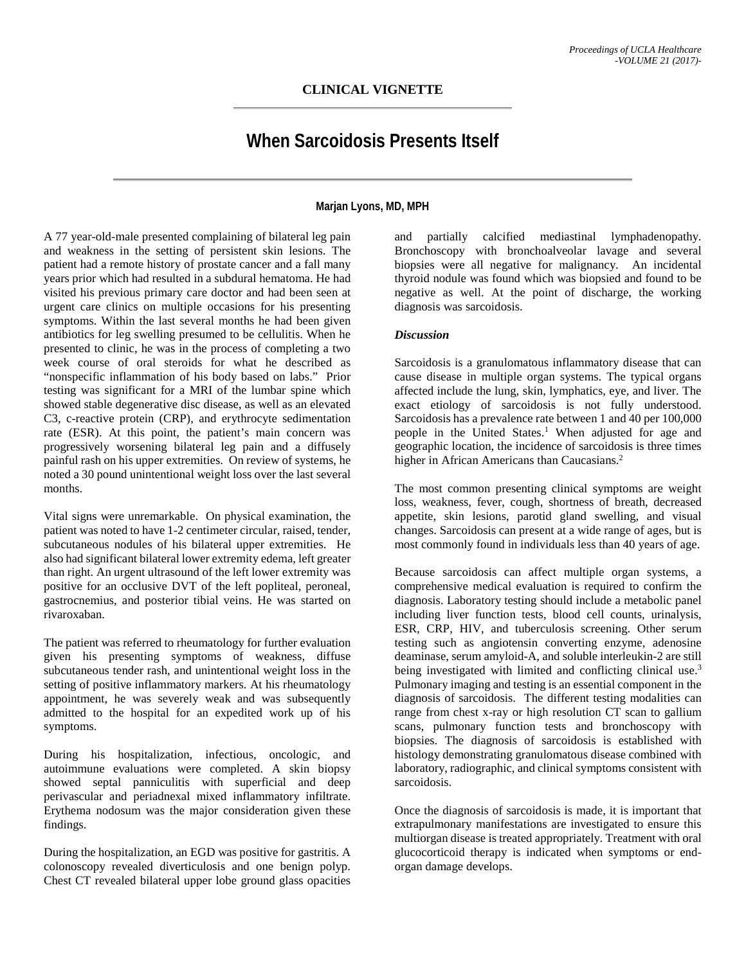## **When Sarcoidosis Presents Itself**

**Marjan Lyons, MD, MPH**

A 77 year-old-male presented complaining of bilateral leg pain and weakness in the setting of persistent skin lesions. The patient had a remote history of prostate cancer and a fall many years prior which had resulted in a subdural hematoma. He had visited his previous primary care doctor and had been seen at urgent care clinics on multiple occasions for his presenting symptoms. Within the last several months he had been given antibiotics for leg swelling presumed to be cellulitis. When he presented to clinic, he was in the process of completing a two week course of oral steroids for what he described as "nonspecific inflammation of his body based on labs." Prior testing was significant for a MRI of the lumbar spine which showed stable degenerative disc disease, as well as an elevated C3, c-reactive protein (CRP), and erythrocyte sedimentation rate (ESR). At this point, the patient's main concern was progressively worsening bilateral leg pain and a diffusely painful rash on his upper extremities. On review of systems, he noted a 30 pound unintentional weight loss over the last several months.

Vital signs were unremarkable. On physical examination, the patient was noted to have 1-2 centimeter circular, raised, tender, subcutaneous nodules of his bilateral upper extremities. He also had significant bilateral lower extremity edema, left greater than right. An urgent ultrasound of the left lower extremity was positive for an occlusive DVT of the left popliteal, peroneal, gastrocnemius, and posterior tibial veins. He was started on rivaroxaban.

The patient was referred to rheumatology for further evaluation given his presenting symptoms of weakness, diffuse subcutaneous tender rash, and unintentional weight loss in the setting of positive inflammatory markers. At his rheumatology appointment, he was severely weak and was subsequently admitted to the hospital for an expedited work up of his symptoms.

During his hospitalization, infectious, oncologic, and autoimmune evaluations were completed. A skin biopsy showed septal panniculitis with superficial and deep perivascular and periadnexal mixed inflammatory infiltrate. Erythema nodosum was the major consideration given these findings.

During the hospitalization, an EGD was positive for gastritis. A colonoscopy revealed diverticulosis and one benign polyp. Chest CT revealed bilateral upper lobe ground glass opacities

and partially calcified mediastinal lymphadenopathy. Bronchoscopy with bronchoalveolar lavage and several biopsies were all negative for malignancy. An incidental thyroid nodule was found which was biopsied and found to be negative as well. At the point of discharge, the working diagnosis was sarcoidosis.

## *Discussion*

Sarcoidosis is a granulomatous inflammatory disease that can cause disease in multiple organ systems. The typical organs affected include the lung, skin, lymphatics, eye, and liver. The exact etiology of sarcoidosis is not fully understood. Sarcoidosis has a prevalence rate between 1 and 40 per 100,000 people in the United States.<sup>1</sup> When adjusted for age and geographic location, the incidence of sarcoidosis is three times higher in African Americans than Caucasians.<sup>2</sup>

The most common presenting clinical symptoms are weight loss, weakness, fever, cough, shortness of breath, decreased appetite, skin lesions, parotid gland swelling, and visual changes. Sarcoidosis can present at a wide range of ages, but is most commonly found in individuals less than 40 years of age.

Because sarcoidosis can affect multiple organ systems, a comprehensive medical evaluation is required to confirm the diagnosis. Laboratory testing should include a metabolic panel including liver function tests, blood cell counts, urinalysis, ESR, CRP, HIV, and tuberculosis screening. Other serum testing such as angiotensin converting enzyme, adenosine deaminase, serum amyloid-A, and soluble interleukin-2 are still being investigated with limited and conflicting clinical use.<sup>3</sup> Pulmonary imaging and testing is an essential component in the diagnosis of sarcoidosis. The different testing modalities can range from chest x-ray or high resolution CT scan to gallium scans, pulmonary function tests and bronchoscopy with biopsies. The diagnosis of sarcoidosis is established with histology demonstrating granulomatous disease combined with laboratory, radiographic, and clinical symptoms consistent with sarcoidosis.

Once the diagnosis of sarcoidosis is made, it is important that extrapulmonary manifestations are investigated to ensure this multiorgan disease is treated appropriately. Treatment with oral glucocorticoid therapy is indicated when symptoms or endorgan damage develops.